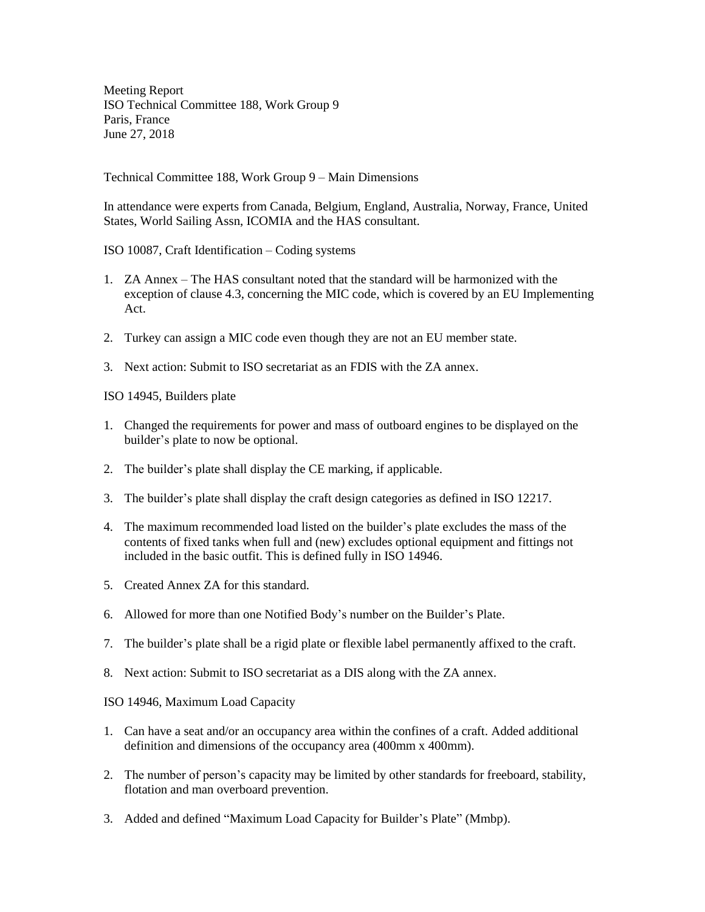Meeting Report ISO Technical Committee 188, Work Group 9 Paris, France June 27, 2018

Technical Committee 188, Work Group 9 – Main Dimensions

In attendance were experts from Canada, Belgium, England, Australia, Norway, France, United States, World Sailing Assn, ICOMIA and the HAS consultant.

ISO 10087, Craft Identification – Coding systems

- 1. ZA Annex The HAS consultant noted that the standard will be harmonized with the exception of clause 4.3, concerning the MIC code, which is covered by an EU Implementing Act.
- 2. Turkey can assign a MIC code even though they are not an EU member state.
- 3. Next action: Submit to ISO secretariat as an FDIS with the ZA annex.

ISO 14945, Builders plate

- 1. Changed the requirements for power and mass of outboard engines to be displayed on the builder's plate to now be optional.
- 2. The builder's plate shall display the CE marking, if applicable.
- 3. The builder's plate shall display the craft design categories as defined in ISO 12217.
- 4. The maximum recommended load listed on the builder's plate excludes the mass of the contents of fixed tanks when full and (new) excludes optional equipment and fittings not included in the basic outfit. This is defined fully in ISO 14946.
- 5. Created Annex ZA for this standard.
- 6. Allowed for more than one Notified Body's number on the Builder's Plate.
- 7. The builder's plate shall be a rigid plate or flexible label permanently affixed to the craft.
- 8. Next action: Submit to ISO secretariat as a DIS along with the ZA annex.

ISO 14946, Maximum Load Capacity

- 1. Can have a seat and/or an occupancy area within the confines of a craft. Added additional definition and dimensions of the occupancy area (400mm x 400mm).
- 2. The number of person's capacity may be limited by other standards for freeboard, stability, flotation and man overboard prevention.
- 3. Added and defined "Maximum Load Capacity for Builder's Plate" (Mmbp).